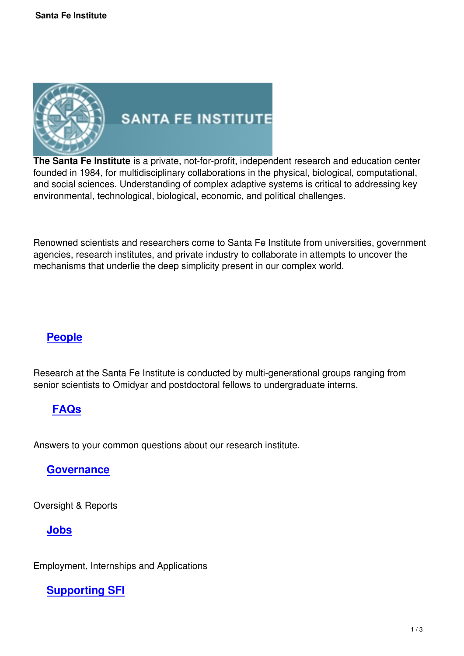

# **SANTA FE INSTITUTE**

**The Santa Fe Institute** is a private, not-for-profit, independent research and education center founded in 1984, for multidisciplinary collaborations in the physical, biological, computational, and social sciences. Understanding of complex adaptive systems is critical to addressing key environmental, technological, biological, economic, and political challenges.

Renowned scientists and researchers come to Santa Fe Institute from universities, government agencies, research institutes, and private industry to collaborate in attempts to uncover the mechanisms that underlie the deep simplicity present in our complex world.

# **People**

Re[search at](http://www.santafe.edu/about/people) the Santa Fe Institute is conducted by multi-generational groups ranging from senior scientists to Omidyar and postdoctoral fellows to undergraduate interns.

# **FAQs**

Ans[wers to](http://www.santafe.edu/about/faq) your common questions about our research institute.

### **Governance**

Ov[ersight & Repor](http://www.santafe.edu/about/governance/)ts

## **Jobs**

E[mployme](http://www.santafe.edu/about/jobs/)nt, Internships and Applications

## **Supporting SFI**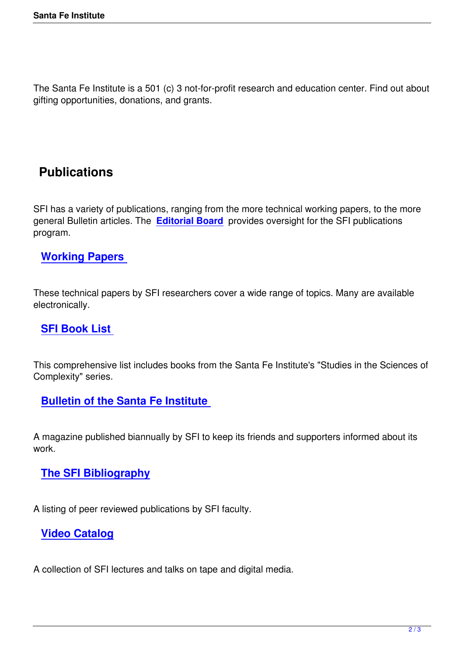The Santa Fe Institute is a 501 (c) 3 not-for-profit research and education center. Find out about gifting opportunities, donations, and grants.

# **Publications**

SFI has a variety of publications, ranging from the more technical working papers, to the more general Bulletin articles. The **Editorial Board** provides oversight for the SFI publications program.

### **Working Papers**

T[hese technical papers](http://www.santafe.edu/research/working-papers/) by SFI researchers cover a wide range of topics. Many are available electronically.

### **SFI Book List**

T[his comprehensive](http://www.santafe.edu/research/publications/sfi-book-list) list includes books from the Santa Fe Institute's "Studies in the Sciences of Complexity" series.

### **Bulletin of the Santa Fe Institute**

A [magazine published biannually by SFI to](http://www.santafe.edu/research/publications/sfi-bulletin) keep its friends and supporters informed about its work.

### **The SFI Bibliography**

A [listing of peer reviewed pu](http://www.santafe.edu/research/publications/sfi-bibliography/)blications by SFI faculty.

#### **Video Catalog**

A [collection of SFI le](http://www.santafe.edu/research/videos/catalog/)ctures and talks on tape and digital media.